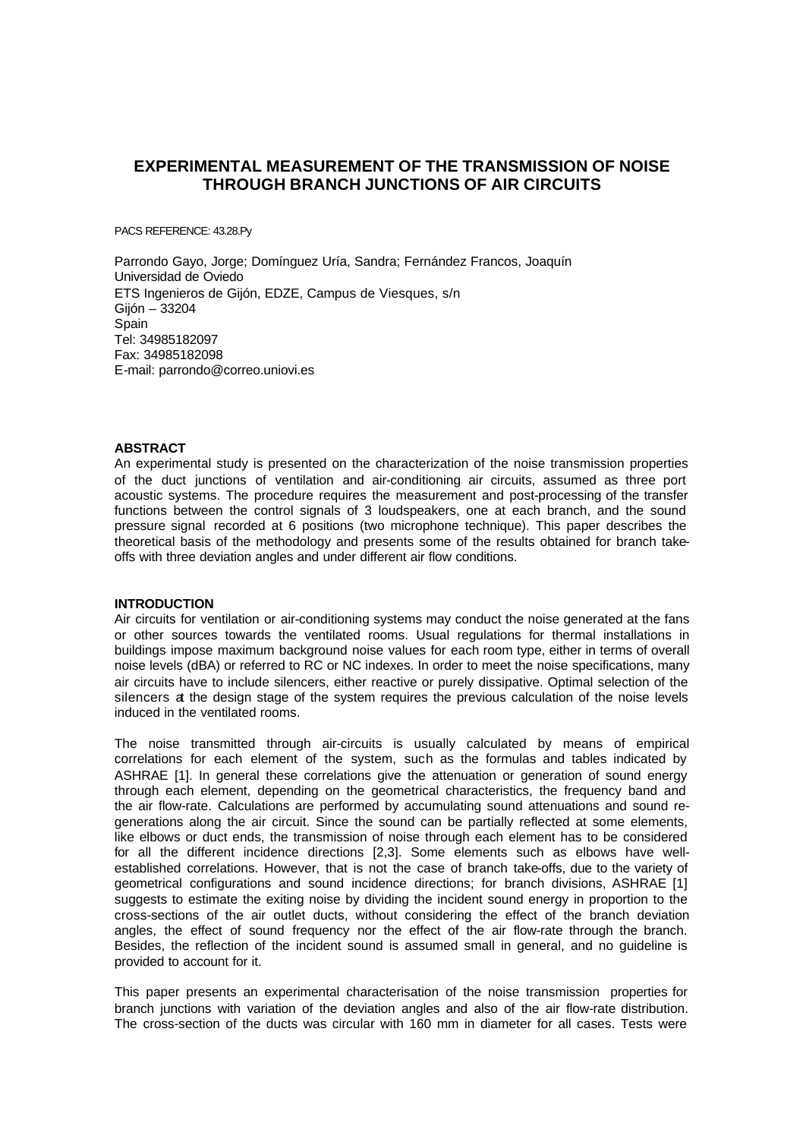# **EXPERIMENTAL MEASUREMENT OF THE TRANSMISSION OF NOISE THROUGH BRANCH JUNCTIONS OF AIR CIRCUITS**

PACS REFERENCE: 43.28.Py

Parrondo Gayo, Jorge; Domínguez Uría, Sandra; Fernández Francos, Joaquín Universidad de Oviedo ETS Ingenieros de Gijón, EDZE, Campus de Viesques, s/n Gijón – 33204 Spain Tel: 34985182097 Fax: 34985182098 E-mail: parrondo@correo.uniovi.es

#### **ABSTRACT**

An experimental study is presented on the characterization of the noise transmission properties of the duct junctions of ventilation and air-conditioning air circuits, assumed as three port acoustic systems. The procedure requires the measurement and post-processing of the transfer functions between the control signals of 3 loudspeakers, one at each branch, and the sound pressure signal recorded at 6 positions (two microphone technique). This paper describes the theoretical basis of the methodology and presents some of the results obtained for branch takeoffs with three deviation angles and under different air flow conditions.

#### **INTRODUCTION**

Air circuits for ventilation or air-conditioning systems may conduct the noise generated at the fans or other sources towards the ventilated rooms. Usual regulations for thermal installations in buildings impose maximum background noise values for each room type, either in terms of overall noise levels (dBA) or referred to RC or NC indexes. In order to meet the noise specifications, many air circuits have to include silencers, either reactive or purely dissipative. Optimal selection of the silencers at the design stage of the system requires the previous calculation of the noise levels induced in the ventilated rooms.

The noise transmitted through air-circuits is usually calculated by means of empirical correlations for each element of the system, such as the formulas and tables indicated by ASHRAE [1]. In general these correlations give the attenuation or generation of sound energy through each element, depending on the geometrical characteristics, the frequency band and the air flow-rate. Calculations are performed by accumulating sound attenuations and sound regenerations along the air circuit. Since the sound can be partially reflected at some elements, like elbows or duct ends, the transmission of noise through each element has to be considered for all the different incidence directions [2,3]. Some elements such as elbows have wellestablished correlations. However, that is not the case of branch take-offs, due to the variety of geometrical configurations and sound incidence directions; for branch divisions, ASHRAE [1] suggests to estimate the exiting noise by dividing the incident sound energy in proportion to the cross-sections of the air outlet ducts, without considering the effect of the branch deviation angles, the effect of sound frequency nor the effect of the air flow-rate through the branch. Besides, the reflection of the incident sound is assumed small in general, and no guideline is provided to account for it.

This paper presents an experimental characterisation of the noise transmission properties for branch junctions with variation of the deviation angles and also of the air flow-rate distribution. The cross-section of the ducts was circular with 160 mm in diameter for all cases. Tests were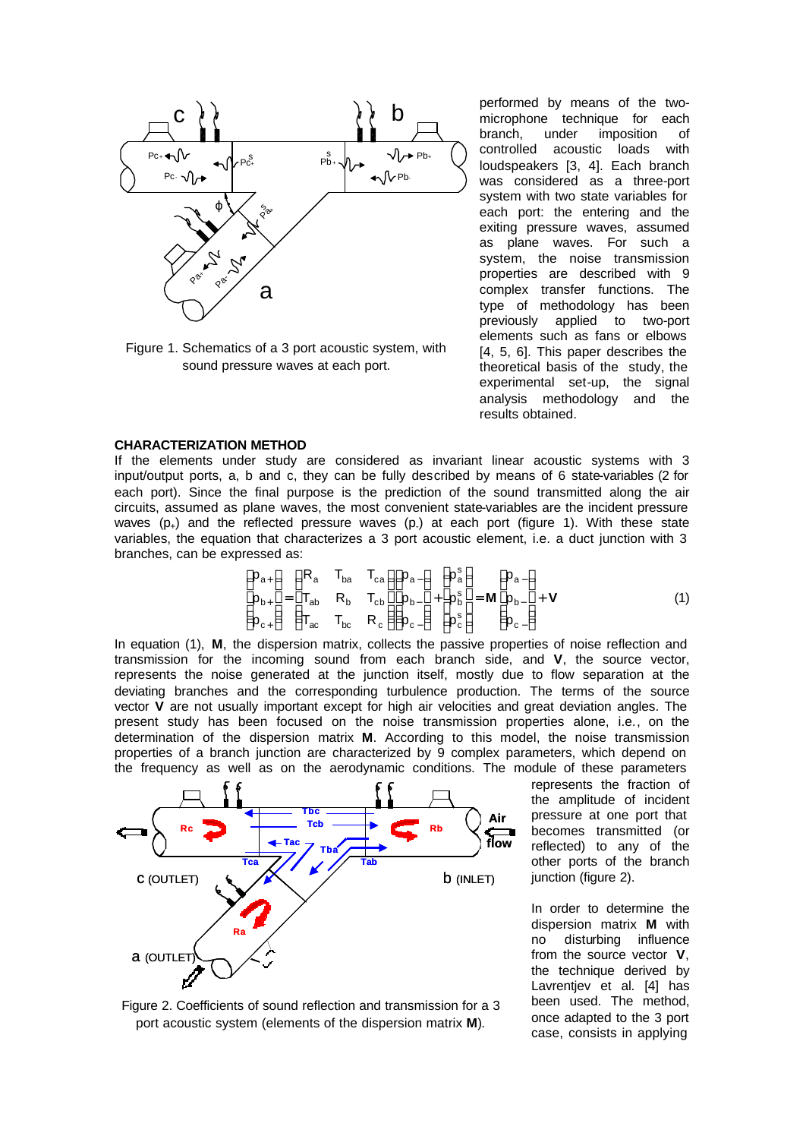

Figure 1. Schematics of a 3 port acoustic system, with sound pressure waves at each port.

performed by means of the twomicrophone technique for each branch, under imposition of controlled acoustic loads with loudspeakers [3, 4]. Each branch was considered as a three-port system with two state variables for each port: the entering and the exiting pressure waves, assumed as plane waves. For such a system, the noise transmission properties are described with 9 complex transfer functions. The type of methodology has been previously applied to two-port elements such as fans or elbows [4, 5, 6]. This paper describes the theoretical basis of the study, the experimental set-up, the signal analysis methodology and the results obtained.

#### **CHARACTERIZATION METHOD**

If the elements under study are considered as invariant linear acoustic systems with 3 input/output ports, a, b and c, they can be fully described by means of 6 state-variables (2 for each port). Since the final purpose is the prediction of the sound transmitted along the air circuits, assumed as plane waves, the most convenient state-variables are the incident pressure waves  $(p_{+})$  and the reflected pressure waves  $(p_{-})$  at each port (figure 1). With these state variables, the equation that characterizes a 3 port acoustic element, i.e. a duct junction with 3 branches, can be expressed as:

$$
\begin{pmatrix} p_{a+} \\ p_{b+} \\ p_{c+} \end{pmatrix} = \begin{pmatrix} R_a & T_{ba} & T_{ca} \\ T_{ab} & R_b & T_{cb} \\ T_{ac} & T_{bc} & R_c \end{pmatrix} \begin{pmatrix} p_{a-} \\ p_{b-} \\ p_{c-} \end{pmatrix} + \begin{pmatrix} p_a^s \\ p_b^s \\ p_c^s \end{pmatrix} = M \begin{pmatrix} p_{a-} \\ p_{b-} \\ p_{c-} \end{pmatrix} + V
$$
(1)

In equation (1), **M**, the dispersion matrix, collects the passive properties of noise reflection and transmission for the incoming sound from each branch side, and **V**, the source vector, represents the noise generated at the junction itself, mostly due to flow separation at the deviating branches and the corresponding turbulence production. The terms of the source vector **V** are not usually important except for high air velocities and great deviation angles. The present study has been focused on the noise transmission properties alone, i.e., on the determination of the dispersion matrix **M**. According to this model, the noise transmission properties of a branch junction are characterized by 9 complex parameters, which depend on the frequency as well as on the aerodynamic conditions. The module of these parameters



represents the fraction of the amplitude of incident pressure at one port that becomes transmitted (or reflected) to any of the other ports of the branch junction (figure 2).

In order to determine the dispersion matrix **M** with no disturbing influence from the source vector **V**, the technique derived by Lavrentjev et al. [4] has been used. The method, once adapted to the 3 port case, consists in applying

Figure 2. Coefficients of sound reflection and transmission for a 3 port acoustic system (elements of the dispersion matrix **M**).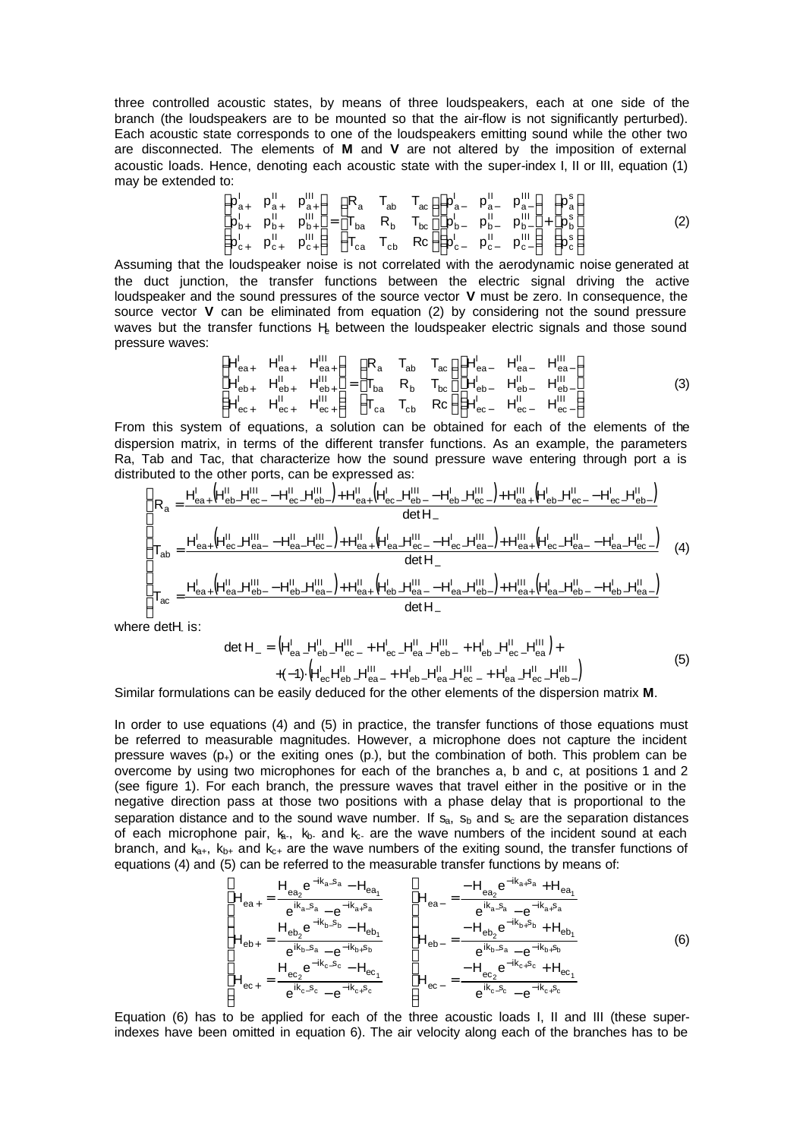three controlled acoustic states, by means of three loudspeakers, each at one side of the branch (the loudspeakers are to be mounted so that the air-flow is not significantly perturbed). Each acoustic state corresponds to one of the loudspeakers emitting sound while the other two are disconnected. The elements of **M** and **V** are not altered by the imposition of external acoustic loads. Hence, denoting each acoustic state with the super-index I, II or III, equation (1) may be extended to:

$$
\begin{pmatrix} p_{a+}^{\perp} & p_{a+}^{\perp} & p_{a+}^{\perp\perp} \\ p_{b+}^{\perp} & p_{b+}^{\perp} & p_{b+}^{\perp\perp} \\ p_{c+}^{\perp} & p_{c+}^{\perp\perp} & p_{c+}^{\perp\perp} \end{pmatrix} = \begin{pmatrix} R_a & T_{ab} & T_{ac} \\ T_{ba} & R_b & T_{bc} \\ T_{ca} & T_{cb} & R_c \end{pmatrix} \begin{pmatrix} p_{a-}^{\perp} & p_{a-}^{\perp\perp} & p_{a-}^{\perp\perp} \\ p_{b-}^{\perp} & p_{b-}^{\perp\perp} & p_{b-}^{\perp\perp} \\ p_{c-}^{\perp} & p_{c-}^{\perp\perp} & p_{c-}^{\perp\perp} \end{pmatrix} + \begin{pmatrix} p_a^s \\ p_b^s \\ p_b^s \\ p_c^s \end{pmatrix}
$$
(2)

Assuming that the loudspeaker noise is not correlated with the aerodynamic noise generated at the duct junction, the transfer functions between the electric signal driving the active loudspeaker and the sound pressures of the source vector **V** must be zero. In consequence, the source vector **V** can be eliminated from equation (2) by considering not the sound pressure waves but the transfer functions H between the loudspeaker electric signals and those sound pressure waves:

$$
\begin{pmatrix}\nH_{ea_{+}}^{l} & H_{ea_{+}}^{l} & H_{ea_{+}}^{l} \\
H_{eb_{+}}^{l} & H_{eb_{+}}^{l} & H_{eb_{+}}^{l} \\
H_{ec_{+}}^{l} & H_{ec_{+}}^{l} & H_{ec_{+}}^{l} \\
\end{pmatrix} = \begin{pmatrix}\nR_a & T_{ab} & T_{ac} \\
T_{ba} & R_b & T_{bc} \\
T_{ca} & T_{cb} & R_c\n\end{pmatrix} \begin{pmatrix}\nH_{ea_{-}}^{l} & H_{ea_{-}}^{l} & H_{ea_{-}}^{l} \\
H_{eb_{-}}^{l} & H_{eb_{-}}^{l} & H_{eb_{-}}^{l} \\
H_{eb_{-}}^{l} & H_{eb_{-}}^{l} & H_{eb_{-}}^{l} \\
H_{ec_{-}}^{l} & H_{ec_{-}}^{l} & H_{ec_{-}}^{l} \\
\end{pmatrix}
$$
\n(3)

From this system of equations, a solution can be obtained for each of the elements of the dispersion matrix, in terms of the different transfer functions. As an example, the parameters Ra, Tab and Tac, that characterize how the sound pressure wave entering through port a is distributed to the other ports, can be expressed as:

$$
\left\{ \begin{aligned} R_{a}&=\frac{H_{ea+}^{I}\left(H_{eb-}^{II}-H_{ec-}^{II}H_{eb-}^{III}\right)+H_{ea+}^{II}\left(H_{ec-}^{I}-H_{eb-}^{III}-H_{ec-}^{I}\right)+H_{ea+}^{III}\left(H_{eb-}^{I}H_{ec-}^{II}-H_{ec-}^{I}\right)}{detH_{-}} \\ T_{ab}&=\frac{H_{ea+}^{I}\left(H_{ec-}^{II}-H_{ea-}^{III}-H_{ea-}^{II}\right)+H_{ea+}^{III}\left(H_{ea-}^{I}-H_{ec-}^{II}-H_{ec-}^{I}\right)+H_{ea+}^{III}\left(H_{ec-}^{I}-H_{ea-}^{I}-H_{ea-}^{I}\right)}{detH_{-}} \\ T_{ac}&=\frac{H_{ea+}^{I}\left(H_{ea-}^{II}-H_{eb-}^{III}-H_{eb-}^{II}\right)+H_{ea+}^{II}\left(H_{eb-}^{I}-H_{ea-}^{II}-H_{ea-}^{II}\right)+H_{ea+}^{III}\left(H_{ea-}^{I}-H_{eb-}^{II}-H_{ea-}^{I}\right)}{detH_{-}} \end{aligned} \right. \tag{4}
$$

where detH. is:

 $\mathsf{r}$ 

$$
\det H_{-} = (H_{ea}^{I} - H_{eb}^{II} - H_{ec}^{III} + H_{ec}^{I} - H_{ea}^{II} - H_{eb}^{III} - H_{eb}^{I} - H_{ec}^{II} - H_{ea}^{III}) + (-1) \cdot (H_{ec}^{I} - H_{eb}^{II} - H_{ea}^{III} - H_{eb}^{II} - H_{ea}^{III} - H_{ec}^{III} - H_{eb}^{III} - H_{eb}^{III} - H_{eb}^{III} - H_{eb}^{III} - H_{eb}^{III} - H_{eb}^{III} - H_{eb}^{III} - H_{eb}^{III} - H_{eb}^{III} - H_{eb}^{III} - H_{eb}^{III} - H_{eb}^{III} - H_{eb}^{III} - H_{eb}^{III} - H_{eb}^{III} - H_{eb}^{III} - H_{eb}^{III} - H_{eb}^{III} - H_{eb}^{III} - H_{eb}^{III} - H_{eb}^{III} - H_{eb}^{III} - H_{eb}^{III} - H_{eb}^{III} - H_{eb}^{III} - H_{eb}^{III} - H_{eb}^{III} - H_{eb}^{III} - H_{eb}^{III} - H_{eb}^{III} - H_{eb}^{III} - H_{eb}^{III} - H_{eb}^{III} - H_{eb}^{III} - H_{eb}^{III} - H_{eb}^{III} - H_{eb}^{III} - H_{eb}^{III} - H_{eb}^{III} - H_{eb}^{III} - H_{eb}^{III} - H_{eb}^{III} - H_{eb}^{III} - H_{eb}^{III} - H_{eb}^{III} - H_{eb}^{III} - H_{eb}^{III} - H_{eb}^{III} - H_{eb}^{III} - H_{eb}^{III} - H_{eb}^{III} - H_{eb}^{III} - H_{eb}^{III} - H_{eb}^{III} - H_{eb}^{III} - H_{eb}^{III} - H_{eb}^{III} - H_{eb}^{III} - H_{eb}^{III} - H_{eb}^{III} - H_{eb}^{III} - H_{eb}^{III} - H_{eb}^{III} - H_{eb}^{III} - H_{eb}^{III} - H_{eb}^{III} - H_{eb}^{III} - H_{eb}^{III} - H_{eb}^{III} - H_{eb}^{III} - H_{eb}^{III} - H_{eb}^{III} - H_{eb}^{III} - H_{eb}^{III} - H_{eb}^{III} - H_{eb}^{III} - H_{eb}^{III} - H_{eb}^{III} - H_{
$$

Similar formulations can be easily deduced for the other elements of the dispersion matrix **M**.

In order to use equations (4) and (5) in practice, the transfer functions of those equations must be referred to measurable magnitudes. However, a microphone does not capture the incident pressure waves  $(p_{+})$  or the exiting ones  $(p_{-})$ , but the combination of both. This problem can be overcome by using two microphones for each of the branches a, b and c, at positions 1 and 2 (see figure 1). For each branch, the pressure waves that travel either in the positive or in the negative direction pass at those two positions with a phase delay that is proportional to the separation distance and to the sound wave number. If  $s_a$ ,  $s_b$  and  $s_c$  are the separation distances of each microphone pair,  $k_{\text{a}}$ ,  $k_{\text{b}}$  and  $k_{\text{c}}$  are the wave numbers of the incident sound at each branch, and  $k_{a+}$ ,  $k_{b+}$  and  $k_{c+}$  are the wave numbers of the exiting sound, the transfer functions of equations (4) and (5) can be referred to the measurable transfer functions by means of:

$$
H_{ea_{+}} = \frac{H_{ea_{2}}e^{-ik_{a}\cdot s_{a}} - H_{ea_{1}}}{e^{ik_{a}\cdot s_{a}} - e^{-ik_{a}\cdot s_{a}}}
$$
\n
$$
H_{eb_{+}} = \frac{H_{eb_{2}}e^{-ik_{b}\cdot s_{b}} - H_{eb_{1}}}{e^{ik_{b}\cdot s_{a}} - e^{-ik_{b}\cdot s_{b}}}
$$
\n
$$
H_{eb_{-}} = \frac{H_{eb_{2}}e^{-ik_{b}\cdot s_{b}} - H_{eb_{1}}}{e^{ik_{b}\cdot s_{a}} - e^{-ik_{b}\cdot s_{b}}}
$$
\n
$$
H_{eb_{-}} = \frac{-H_{eb_{2}}e^{-ik_{b}\cdot s_{a}} - e^{-ik_{a}\cdot s_{a}}}{e^{ik_{b}\cdot s_{a}} - e^{-ik_{b}\cdot s_{b}}}
$$
\n
$$
H_{eb_{-}} = \frac{-H_{eb_{2}}e^{-ik_{b}\cdot s_{b}} + H_{eb_{1}}}{e^{ik_{b}\cdot s_{a}} - e^{-ik_{b}\cdot s_{b}}}
$$
\n
$$
H_{ec_{-}} = \frac{-H_{ec_{2}}e^{-ik_{c}\cdot s_{c}} + H_{ec_{1}}}{e^{ik_{c}\cdot s_{c}} - e^{-ik_{c}\cdot s_{c}}}
$$
\n(6)

Equation (6) has to be applied for each of the three acoustic loads I, II and III (these superindexes have been omitted in equation 6). The air velocity along each of the branches has to be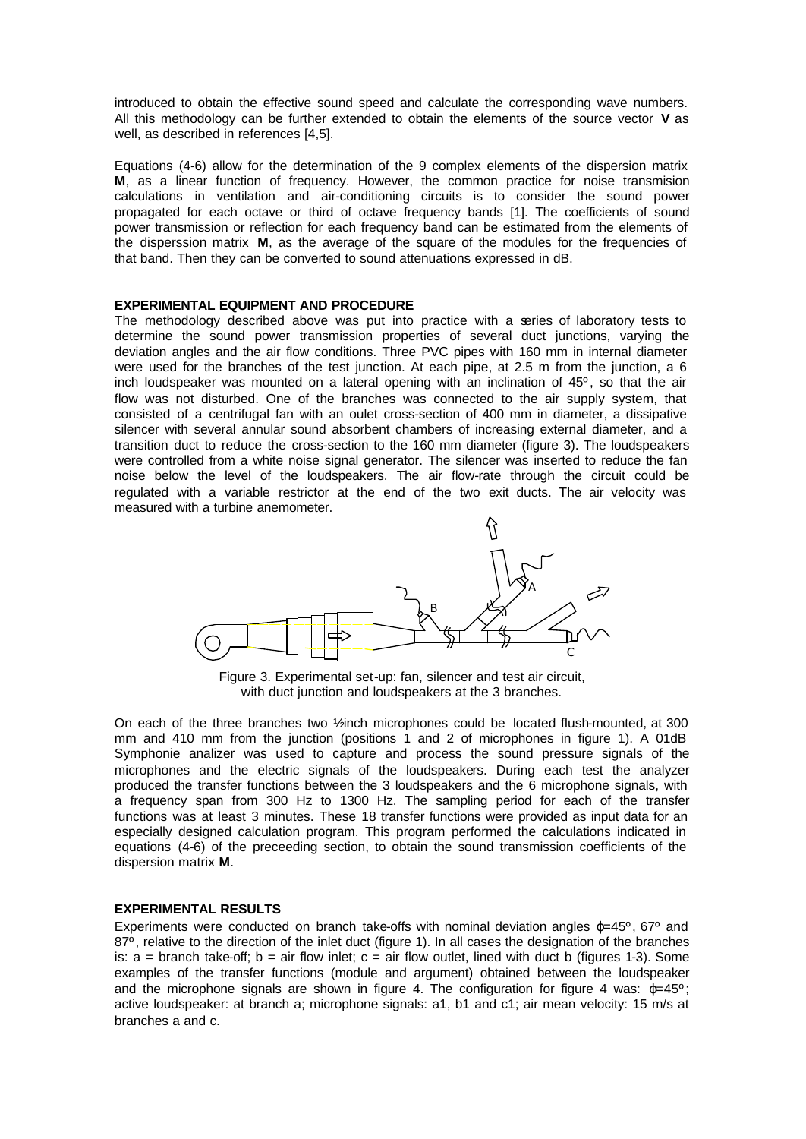introduced to obtain the effective sound speed and calculate the corresponding wave numbers. All this methodology can be further extended to obtain the elements of the source vector **V** as well, as described in references [4,5].

Equations (4-6) allow for the determination of the 9 complex elements of the dispersion matrix **M**, as a linear function of frequency. However, the common practice for noise transmision calculations in ventilation and air-conditioning circuits is to consider the sound power propagated for each octave or third of octave frequency bands [1]. The coefficients of sound power transmission or reflection for each frequency band can be estimated from the elements of the disperssion matrix **M**, as the average of the square of the modules for the frequencies of that band. Then they can be converted to sound attenuations expressed in dB.

#### **EXPERIMENTAL EQUIPMENT AND PROCEDURE**

The methodology described above was put into practice with a series of laboratory tests to determine the sound power transmission properties of several duct junctions, varying the deviation angles and the air flow conditions. Three PVC pipes with 160 mm in internal diameter were used for the branches of the test junction. At each pipe, at 2.5 m from the junction, a 6 inch loudspeaker was mounted on a lateral opening with an inclination of 45º, so that the air flow was not disturbed. One of the branches was connected to the air supply system, that consisted of a centrifugal fan with an oulet cross-section of 400 mm in diameter, a dissipative silencer with several annular sound absorbent chambers of increasing external diameter, and a transition duct to reduce the cross-section to the 160 mm diameter (figure 3). The loudspeakers were controlled from a white noise signal generator. The silencer was inserted to reduce the fan noise below the level of the loudspeakers. The air flow-rate through the circuit could be regulated with a variable restrictor at the end of the two exit ducts. The air velocity was measured with a turbine anemometer.



Figure 3. Experimental set-up: fan, silencer and test air circuit, with duct junction and loudspeakers at the 3 branches.

On each of the three branches two 1/2 inch microphones could be located flush-mounted, at 300 mm and 410 mm from the junction (positions 1 and 2 of microphones in figure 1). A 01dB Symphonie analizer was used to capture and process the sound pressure signals of the microphones and the electric signals of the loudspeakers. During each test the analyzer produced the transfer functions between the 3 loudspeakers and the 6 microphone signals, with a frequency span from 300 Hz to 1300 Hz. The sampling period for each of the transfer functions was at least 3 minutes. These 18 transfer functions were provided as input data for an especially designed calculation program. This program performed the calculations indicated in equations (4-6) of the preceeding section, to obtain the sound transmission coefficients of the dispersion matrix **M**.

## **EXPERIMENTAL RESULTS**

Experiments were conducted on branch take-offs with nominal deviation angles  $\omega = 45^\circ$ , 67° and  $87^\circ$ , relative to the direction of the inlet duct (figure 1). In all cases the designation of the branches is:  $a =$  branch take-off;  $b =$  air flow inlet;  $c =$  air flow outlet, lined with duct b (figures 1-3). Some examples of the transfer functions (module and argument) obtained between the loudspeaker and the microphone signals are shown in figure 4. The configuration for figure 4 was:  $\varphi$ =45°; active loudspeaker: at branch a; microphone signals: a1, b1 and c1; air mean velocity: 15 m/s at branches a and c.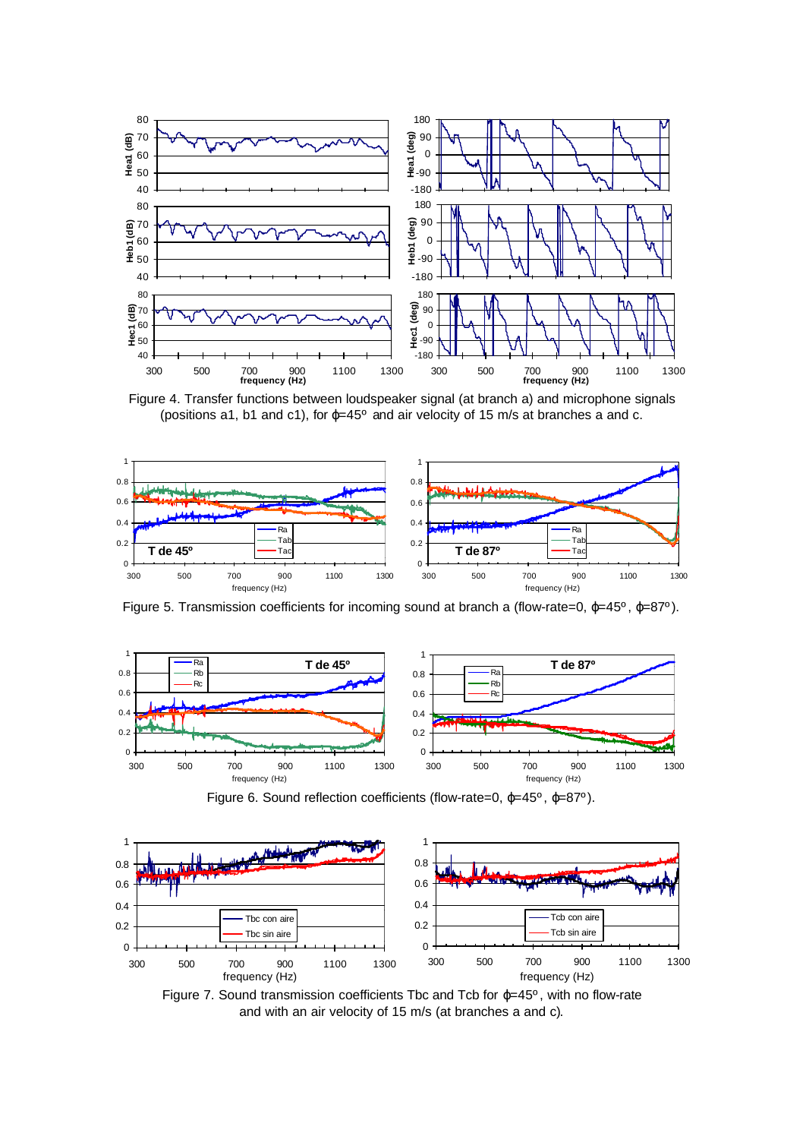

Figure 4. Transfer functions between loudspeaker signal (at branch a) and microphone signals (positions a1, b1 and c1), for  $\varphi$ =45° and air velocity of 15 m/s at branches a and c.



Figure 5. Transmission coefficients for incoming sound at branch a (flow-rate=0,  $\varphi$ =45°,  $\varphi$ =87°).



Figure 6. Sound reflection coefficients (flow-rate=0, ϕ=45º, ϕ=87º).



Figure 7. Sound transmission coefficients Tbc and Tcb for  $\varphi$ =45°, with no flow-rate and with an air velocity of 15 m/s (at branches a and c).